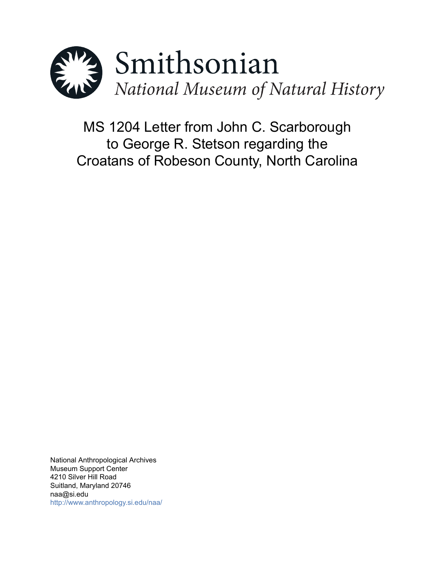

MS 1204 Letter from John C. Scarborough to George R. Stetson regarding the Croatans of Robeson County, North Carolina

National Anthropological Archives Museum Support Center 4210 Silver Hill Road Suitland, Maryland 20746 naa@si.edu <http://www.anthropology.si.edu/naa/>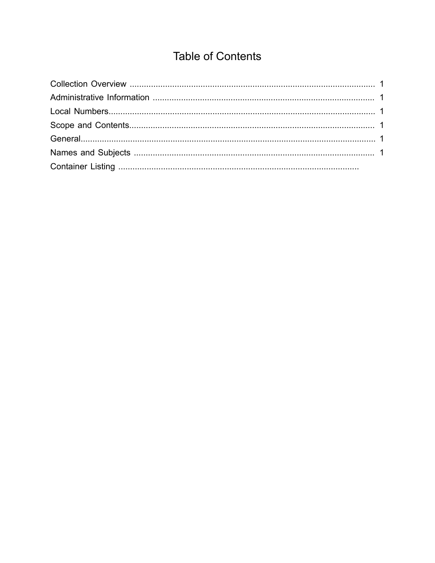# **Table of Contents**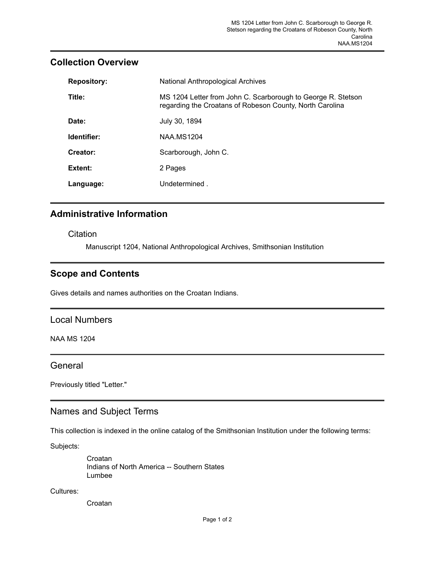# **Repository:** National Anthropological Archives **Title:** MS 1204 Letter from John C. Scarborough to George R. Stetson regarding the Croatans of Robeson County, North Carolina **Date:** July 30, 1894 **Identifier:** NAA.MS1204 Creator: Scarborough, John C. Extent: 2 Pages **Language:** Undetermined .

#### <span id="page-2-0"></span>**Collection Overview**

## <span id="page-2-1"></span>**Administrative Information**

**Citation** 

Manuscript 1204, National Anthropological Archives, Smithsonian Institution

## <span id="page-2-3"></span>**Scope and Contents**

Gives details and names authorities on the Croatan Indians.

#### <span id="page-2-2"></span>Local Numbers

NAA MS 1204

#### <span id="page-2-4"></span>**General**

Previously titled "Letter."

## <span id="page-2-5"></span>Names and Subject Terms

This collection is indexed in the online catalog of the Smithsonian Institution under the following terms:

Subjects:

Croatan Indians of North America -- Southern States Lumbee

Cultures:

Croatan